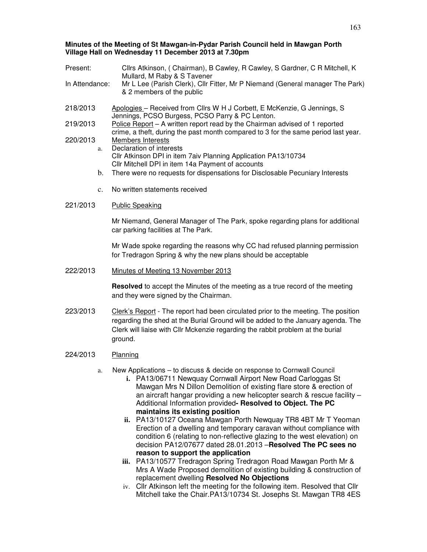### **Minutes of the Meeting of St Mawgan-in-Pydar Parish Council held in Mawgan Porth Village Hall on Wednesday 11 December 2013 at 7.30pm**

| Present:       | Cllrs Atkinson, (Chairman), B Cawley, R Cawley, S Gardner, C R Mitchell, K<br>Mullard, M Raby & S Tavener  |
|----------------|------------------------------------------------------------------------------------------------------------|
| In Attendance: | Mr L Lee (Parish Clerk), Cllr Fitter, Mr P Niemand (General manager The Park)<br>& 2 members of the public |
| 218/2013       | Anologies - Received from Cllrs W H I Corbett F McKenzie G Jennings S                                      |

- 218/2013 Apologies Received from Cllrs W H J Corbett, E McKenzie, G Jennings, S Jennings, PCSO Burgess, PCSO Parry & PC Lenton.
- 219/2013 Police Report A written report read by the Chairman advised of 1 reported crime, a theft, during the past month compared to 3 for the same period last year.
- 220/2013 Members Interests a. Declaration of interests Cllr Atkinson DPI in item 7aiv Planning Application PA13/10734 Cllr Mitchell DPI in item 14a Payment of accounts
	- b. There were no requests for dispensations for Disclosable Pecuniary Interests
	- c. No written statements received

# 221/2013 Public Speaking

Mr Niemand, General Manager of The Park, spoke regarding plans for additional car parking facilities at The Park.

Mr Wade spoke regarding the reasons why CC had refused planning permission for Tredragon Spring & why the new plans should be acceptable

222/2013 Minutes of Meeting 13 November 2013

**Resolved** to accept the Minutes of the meeting as a true record of the meeting and they were signed by the Chairman.

- 223/2013 Clerk's Report The report had been circulated prior to the meeting. The position regarding the shed at the Burial Ground will be added to the January agenda. The Clerk will liaise with Cllr Mckenzie regarding the rabbit problem at the burial ground.
- 224/2013 Planning
	- a. New Applications to discuss & decide on response to Cornwall Council
		- **i.** PA13/06711 Newquay Cornwall Airport New Road Carloggas St Mawgan Mrs N Dillon Demolition of existing flare store & erection of an aircraft hangar providing a new helicopter search & rescue facility – Additional Information provided**- Resolved to Object. The PC maintains its existing position**
		- **ii.** PA13/10127 Oceana Mawgan Porth Newquay TR8 4BT Mr T Yeoman Erection of a dwelling and temporary caravan without compliance with condition 6 (relating to non-reflective glazing to the west elevation) on decision PA12/07677 dated 28.01.2013 –**Resolved The PC sees no reason to support the application**
		- **iii.** PA13/10577 Tredragon Spring Tredragon Road Mawgan Porth Mr & Mrs A Wade Proposed demolition of existing building & construction of replacement dwelling **Resolved No Objections**
		- iv. Cllr Atkinson left the meeting for the following item. Resolved that Cllr Mitchell take the Chair.PA13/10734 St. Josephs St. Mawgan TR8 4ES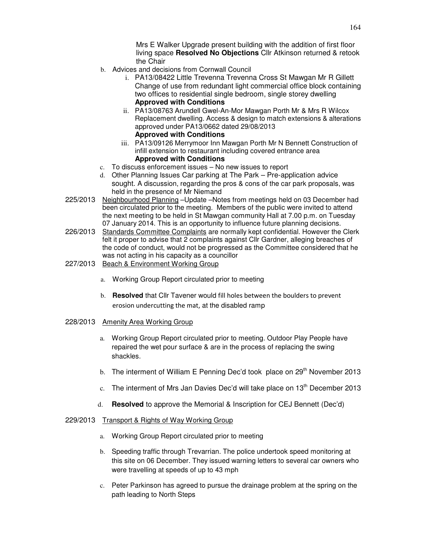Mrs E Walker Upgrade present building with the addition of first floor living space **Resolved No Objections** Cllr Atkinson returned & retook the Chair

- b. Advices and decisions from Cornwall Council
	- i. PA13/08422 Little Trevenna Trevenna Cross St Mawgan Mr R Gillett Change of use from redundant light commercial office block containing two offices to residential single bedroom, single storey dwelling **Approved with Conditions**
	- ii. PA13/08763 Arundell Gwel-An-Mor Mawgan Porth Mr & Mrs R Wilcox Replacement dwelling. Access & design to match extensions & alterations approved under PA13/0662 dated 29/08/2013 **Approved with Conditions**
	- iii. PA13/09126 Merrymoor Inn Mawgan Porth Mr N Bennett Construction of infill extension to restaurant including covered entrance area **Approved with Conditions**
- c. To discuss enforcement issues No new issues to report
- d. Other Planning Issues Car parking at The Park Pre-application advice sought. A discussion, regarding the pros & cons of the car park proposals, was held in the presence of Mr Niemand
- 225/2013 Neighbourhood Planning –Update –Notes from meetings held on 03 December had been circulated prior to the meeting. Members of the public were invited to attend the next meeting to be held in St Mawgan community Hall at 7.00 p.m. on Tuesday 07 January 2014. This is an opportunity to influence future planning decisions.
- 226/2013 Standards Committee Complaints are normally kept confidential. However the Clerk felt it proper to advise that 2 complaints against Cllr Gardner, alleging breaches of the code of conduct, would not be progressed as the Committee considered that he was not acting in his capacity as a councillor
- 227/2013 Beach & Environment Working Group
	- a. Working Group Report circulated prior to meeting
	- b. **Resolved** that Cllr Tavener would fill holes between the boulders to prevent erosion undercutting the mat, at the disabled ramp

# 228/2013 Amenity Area Working Group

- a. Working Group Report circulated prior to meeting. Outdoor Play People have repaired the wet pour surface & are in the process of replacing the swing shackles.
- b. The interment of William E Penning Dec'd took place on  $29<sup>th</sup>$  November 2013
- c. The interment of Mrs Jan Davies Dec'd will take place on  $13<sup>th</sup>$  December 2013
- d. **Resolved** to approve the Memorial & Inscription for CEJ Bennett (Dec'd)

### 229/2013 Transport & Rights of Way Working Group

- a. Working Group Report circulated prior to meeting
- b. Speeding traffic through Trevarrian. The police undertook speed monitoring at this site on 06 December. They issued warning letters to several car owners who were travelling at speeds of up to 43 mph
- c. Peter Parkinson has agreed to pursue the drainage problem at the spring on the path leading to North Steps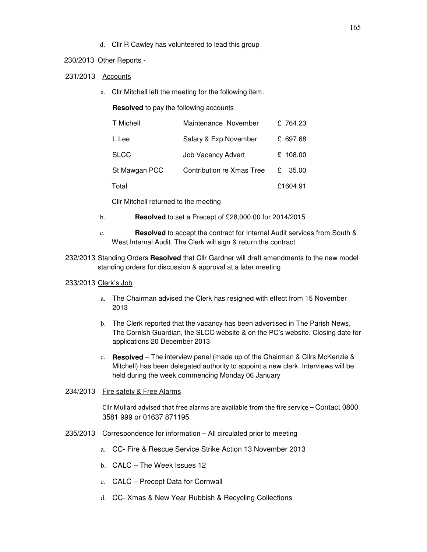d. Cllr R Cawley has volunteered to lead this group

### 230/2013 Other Reports -

231/2013 Accounts

a. Cllr Mitchell left the meeting for the following item.

**Resolved** to pay the following accounts

| T Michell     | Maintenance November      |   | £764.23  |
|---------------|---------------------------|---|----------|
| L Lee         | Salary & Exp November     |   | £ 697.68 |
| <b>SLCC</b>   | <b>Job Vacancy Advert</b> |   | £ 108.00 |
| St Mawgan PCC | Contribution re Xmas Tree | £ | 35.00    |
| Total         |                           |   | £1604.91 |

Cllr Mitchell returned to the meeting

- b. **Resolved** to set a Precept of £28,000.00 for 2014/2015
- c. **Resolved** to accept the contract for Internal Audit services from South & West Internal Audit. The Clerk will sign & return the contract
- 232/2013 Standing Orders **Resolved** that Cllr Gardner will draft amendments to the new model standing orders for discussion & approval at a later meeting

# 233/2013 Clerk's Job

- a. The Chairman advised the Clerk has resigned with effect from 15 November 2013
- b. The Clerk reported that the vacancy has been advertised in The Parish News, The Cornish Guardian, the SLCC website & on the PC's website. Closing date for applications 20 December 2013
- c. **Resolved** The interview panel (made up of the Chairman & Cllrs McKenzie & Mitchell) has been delegated authority to appoint a new clerk. Interviews will be held during the week commencing Monday 06 January

# 234/2013 Fire safety & Free Alarms

Cllr Mullard advised that free alarms are available from the fire service – Contact 0800 3581 999 or 01637 871195

# 235/2013 Correspondence for information – All circulated prior to meeting

- a. CC- Fire & Rescue Service Strike Action 13 November 2013
- b. CALC The Week Issues 12
- c. CALC Precept Data for Cornwall
- d. CC- Xmas & New Year Rubbish & Recycling Collections